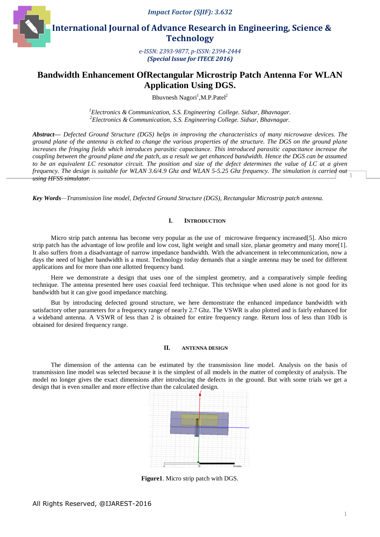



 **International Journal of Advance Research in Engineering, Science & Technology** 

> *e-ISSN: 2393-9877, p-ISSN: 2394-2444 (Special Issue for ITECE 2016)*

# **Bandwidth Enhancement OfRectangular Microstrip Patch Antenna For WLAN Application Using DGS.**

Bhuvnesh Nagori<sup>1</sup>, M.P. Patel<sup>2</sup>

*1 Electronics & Communication, S.S. Engineering College. Sidsar, Bhavnagar. 2 Electronics & Communication, S.S. Engineering College. Sidsar, Bhavnagar.*

1 *Abstract— Defected Ground Structure (DGS) helps in improving the characteristics of many microwave devices. The ground plane of the antenna is etched to change the various properties of the structure. The DGS on the ground plane*  increases the fringing fields which introduces parasitic capacitance. This introduced parasitic capacitance increase the *coupling between the ground plane and the patch, as a result we get enhanced bandwidth. Hence the DGS can be assumed*  to be an equivalent LC resonator circuit. The position and size of the defect determines the value of LC at a given *frequency. The design is suitable for WLAN 3.6/4.9 Ghz and WLAN 5-5.25 Ghz frequency. The simulation is carried out using HFSS simulator.*

*Key Words—Transmission line model, Defected Ground Structure (DGS), Rectangular Microstrip patch antenna.*

# **I. INTRODUCTION**

Micro strip patch antenna has become very popular as the use of microwave frequency increased[5]. Also micro strip patch has the advantage of low profile and low cost, light weight and small size, planar geometry and many more[1]. It also suffers from a disadvantage of narrow impedance bandwidth. With the advancement in telecommunication, now a days the need of higher bandwidth is a must. Technology today demands that a single antenna may be used for different applications and for more than one allotted frequency band.

Here we demonstrate a design that uses one of the simplest geometry, and a comparatively simple feeding technique. The antenna presented here uses coaxial feed technique. This technique when used alone is not good for its bandwidth but it can give good impedance matching.

But by introducing defected ground structure, we here demonstrate the enhanced impedance bandwidth with satisfactory other parameters for a frequency range of nearly 2.7 Ghz. The VSWR is also plotted and is fairly enhanced for a wideband antenna. A VSWR of less than 2 is obtained for entire frequency range. Return loss of less than 10db is obtained for desired frequency range.

#### **II. ANTENNA DESIGN**

The dimension of the antenna can be estimated by the transmission line model. Analysis on the basis of transmission line model was selected because it is the simplest of all models in the matter of complexity of analysis. The model no longer gives the exact dimensions after introducing the defects in the ground. But with some trials we get a design that is even smaller and more effective than the calculated design.



**Figure1**. Micro strip patch with DGS.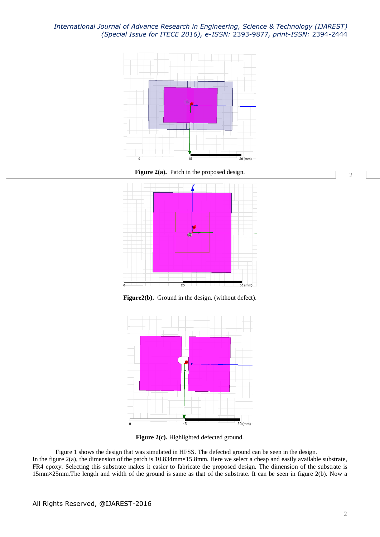*International Journal of Advance Research in Engineering, Science & Technology (IJAREST) (Special Issue for ITECE 2016), e-ISSN:* 2393-9877*, print-ISSN:* 2394-2444



**Figure 2(a).** Patch in the proposed design.



**Figure2(b).** Ground in the design. (without defect).



Figure 2(c). Highlighted defected ground.

Figure 1 shows the design that was simulated in HFSS. The defected ground can be seen in the design. In the figure 2(a), the dimension of the patch is 10.834mm×15.8mm. Here we select a cheap and easily available substrate, FR4 epoxy. Selecting this substrate makes it easier to fabricate the proposed design. The dimension of the substrate is 15mm×25mm.The length and width of the ground is same as that of the substrate. It can be seen in figure 2(b). Now a

2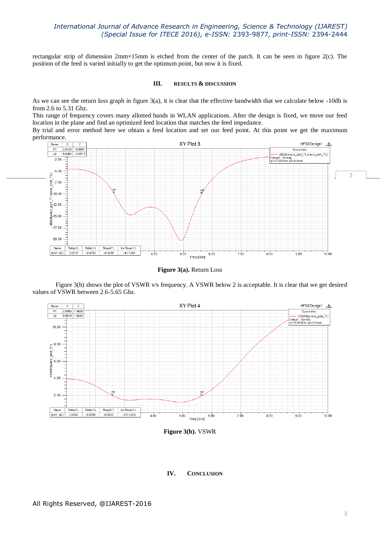# *International Journal of Advance Research in Engineering, Science & Technology (IJAREST) (Special Issue for ITECE 2016), e-ISSN:* 2393-9877*, print-ISSN:* 2394-2444

rectangular strip of dimension 2mm×15mm is etched from the center of the patch. It can be seen in figure 2(c). The position of the feed is varied initially to get the optimum point, but now it is fixed.

#### **III. RESULTS & DISCUSSION**

As we can see the return loss graph in figure 3(a), it is clear that the effective bandwidth that we calculate below -10db is from 2.6 to 5.31 Ghz.

This range of frequency covers many allotted bands in WLAN applications. After the design is fixed, we move our feed location in the plane and find an optimized feed location that matches the feed impedance.

By trial and error method here we obtain a feed location and set our feed point. At this point we get the maximum



**Figure 3(a).** Return Loss

Figure 3(b) shows the plot of VSWR v/s frequency. A VSWR below 2 is acceptable. It is clear that we get desired values of VSWR between 2.6-5.65 Ghz.



**Figure 3(b).** VSWR

### **IV. CONCLUSION**